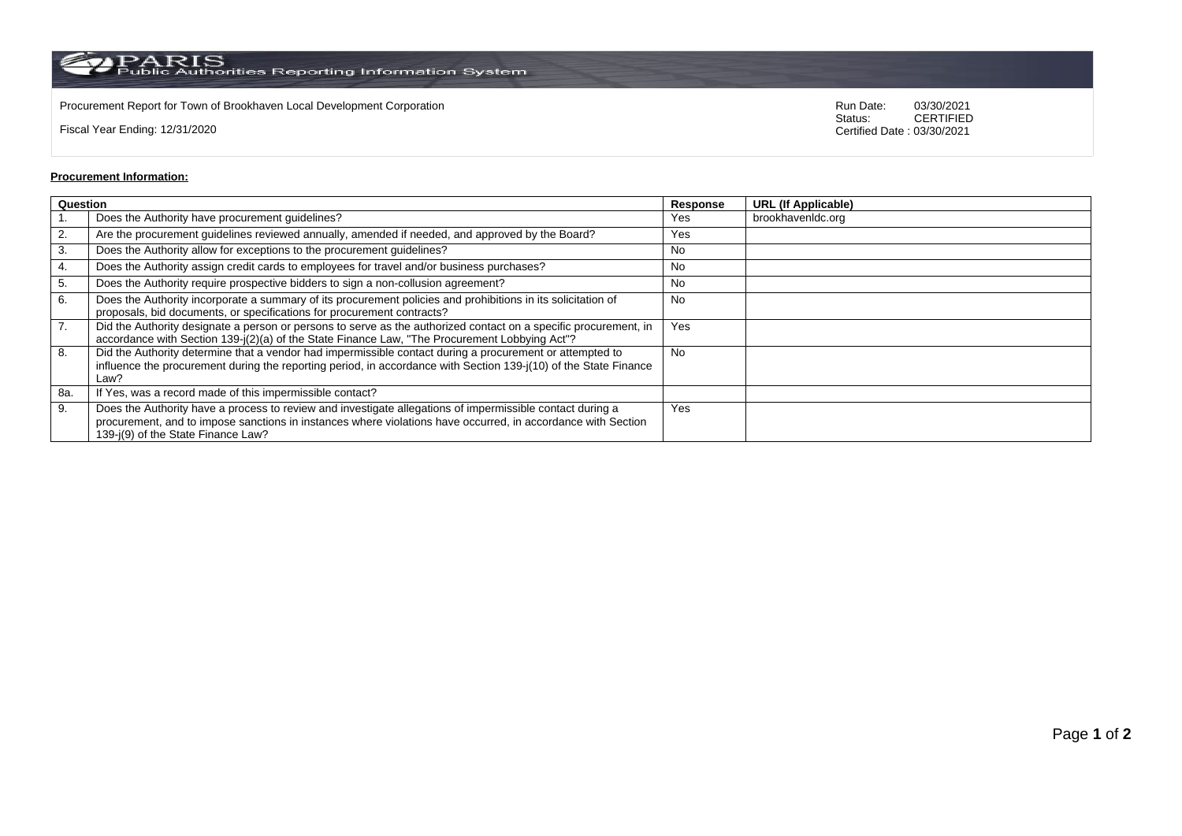$\rm PARS$  PARIS<br>Public Authorities Reporting Information System

Procurement Report for Town of Brookhaven Local Development Corporation **Run Date:** 03/30/2021<br>Status: CERTIFIED

Fiscal Year Ending: 12/31/2020

CERTIFIED Certified Date : 03/30/2021

## **Procurement Information:**

| Question |                                                                                                                                                                                                                                                                 | Response  | <b>URL (If Applicable)</b> |
|----------|-----------------------------------------------------------------------------------------------------------------------------------------------------------------------------------------------------------------------------------------------------------------|-----------|----------------------------|
|          | Does the Authority have procurement guidelines?                                                                                                                                                                                                                 | Yes       | brookhavenIdc.org          |
| 2.       | Are the procurement guidelines reviewed annually, amended if needed, and approved by the Board?                                                                                                                                                                 | Yes       |                            |
| 3.       | Does the Authority allow for exceptions to the procurement guidelines?                                                                                                                                                                                          | No        |                            |
| 4.       | Does the Authority assign credit cards to employees for travel and/or business purchases?                                                                                                                                                                       | No        |                            |
| 5.       | Does the Authority require prospective bidders to sign a non-collusion agreement?                                                                                                                                                                               | No        |                            |
| 6.       | Does the Authority incorporate a summary of its procurement policies and prohibitions in its solicitation of<br>proposals, bid documents, or specifications for procurement contracts?                                                                          | <b>No</b> |                            |
| 7.       | Did the Authority designate a person or persons to serve as the authorized contact on a specific procurement, in<br>accordance with Section 139-j(2)(a) of the State Finance Law, "The Procurement Lobbying Act"?                                               | Yes       |                            |
| 8.       | Did the Authority determine that a vendor had impermissible contact during a procurement or attempted to<br>influence the procurement during the reporting period, in accordance with Section 139-j(10) of the State Finance<br>Law?                            | <b>No</b> |                            |
| 8a.      | If Yes, was a record made of this impermissible contact?                                                                                                                                                                                                        |           |                            |
| 9.       | Does the Authority have a process to review and investigate allegations of impermissible contact during a<br>procurement, and to impose sanctions in instances where violations have occurred, in accordance with Section<br>139-i(9) of the State Finance Law? | Yes       |                            |